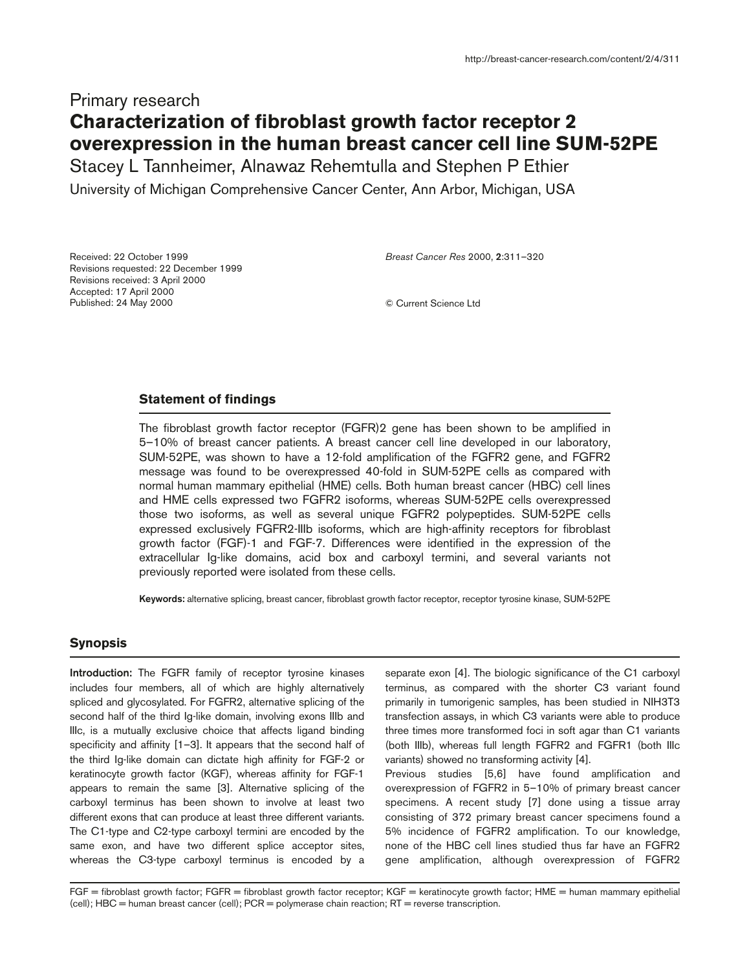# Primary research **Characterization of fibroblast growth factor receptor 2 overexpression in the human breast cancer cell line SUM-52PE**

Stacey L Tannheimer, Alnawaz Rehemtulla and Stephen P Ethier

University of Michigan Comprehensive Cancer Center, Ann Arbor, Michigan, USA

Received: 22 October 1999 Revisions requested: 22 December 1999 Revisions received: 3 April 2000 Accepted: 17 April 2000 Published: 24 May 2000

*Breast Cancer Res* 2000, **2**:311–320

© Current Science Ltd

## **Statement of findings**

The fibroblast growth factor receptor (FGFR)2 gene has been shown to be amplified in 5–10% of breast cancer patients. A breast cancer cell line developed in our laboratory, SUM-52PE, was shown to have a 12-fold amplification of the FGFR2 gene, and FGFR2 message was found to be overexpressed 40-fold in SUM-52PE cells as compared with normal human mammary epithelial (HME) cells. Both human breast cancer (HBC) cell lines and HME cells expressed two FGFR2 isoforms, whereas SUM-52PE cells overexpressed those two isoforms, as well as several unique FGFR2 polypeptides. SUM-52PE cells expressed exclusively FGFR2-IIIb isoforms, which are high-affinity receptors for fibroblast growth factor (FGF)-1 and FGF-7. Differences were identified in the expression of the extracellular Ig-like domains, acid box and carboxyl termini, and several variants not previously reported were isolated from these cells.

**Keywords:** alternative splicing, breast cancer, fibroblast growth factor receptor, receptor tyrosine kinase, SUM-52PE

## **Synopsis**

**Introduction:** The FGFR family of receptor tyrosine kinases includes four members, all of which are highly alternatively spliced and glycosylated. For FGFR2, alternative splicing of the second half of the third Ig-like domain, involving exons IIIb and IIIc, is a mutually exclusive choice that affects ligand binding specificity and affinity [1–3]. It appears that the second half of the third Ig-like domain can dictate high affinity for FGF-2 or keratinocyte growth factor (KGF), whereas affinity for FGF-1 appears to remain the same [3]. Alternative splicing of the carboxyl terminus has been shown to involve at least two different exons that can produce at least three different variants. The C1-type and C2-type carboxyl termini are encoded by the same exon, and have two different splice acceptor sites, whereas the C3-type carboxyl terminus is encoded by a

separate exon [4]. The biologic significance of the C1 carboxyl terminus, as compared with the shorter C3 variant found primarily in tumorigenic samples, has been studied in NIH3T3 transfection assays, in which C3 variants were able to produce three times more transformed foci in soft agar than C1 variants (both IIIb), whereas full length FGFR2 and FGFR1 (both IIIc variants) showed no transforming activity [4].

Previous studies [5,6] have found amplification and overexpression of FGFR2 in 5–10% of primary breast cancer specimens. A recent study [7] done using a tissue array consisting of 372 primary breast cancer specimens found a 5% incidence of FGFR2 amplification. To our knowledge, none of the HBC cell lines studied thus far have an FGFR2 gene amplification, although overexpression of FGFR2

FGF = fibroblast growth factor; FGFR = fibroblast growth factor receptor; KGF = keratinocyte growth factor; HME = human mammary epithelial (cell); HBC = human breast cancer (cell); PCR = polymerase chain reaction; RT = reverse transcription.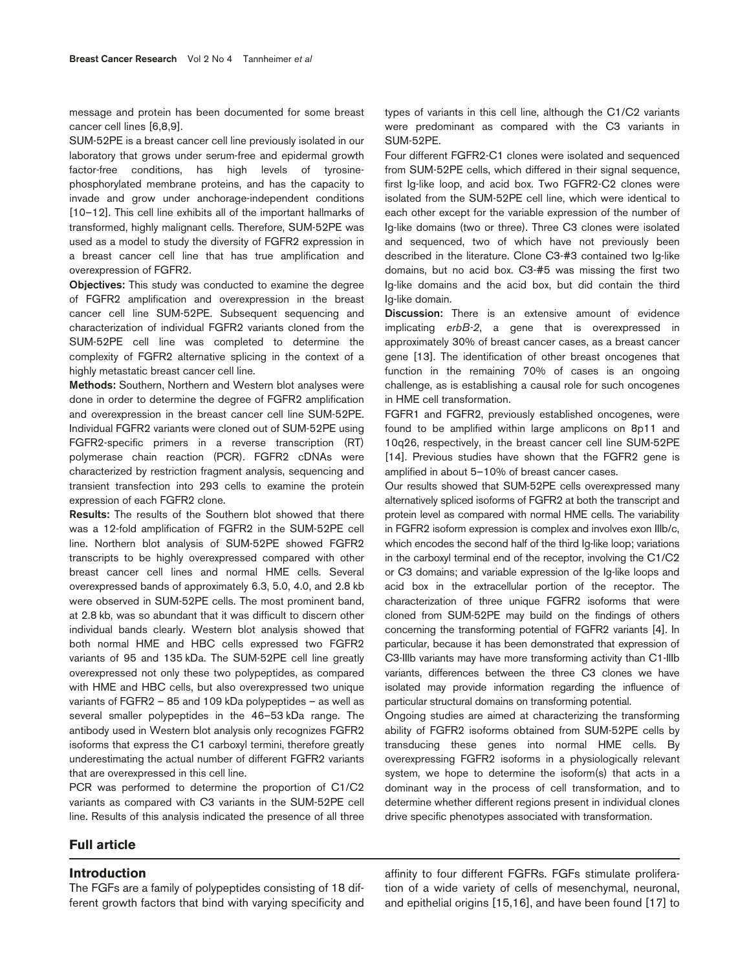message and protein has been documented for some breast cancer cell lines [6,8,9].

SUM-52PE is a breast cancer cell line previously isolated in our laboratory that grows under serum-free and epidermal growth factor-free conditions, has high levels of tyrosinephosphorylated membrane proteins, and has the capacity to invade and grow under anchorage-independent conditions [10–12]. This cell line exhibits all of the important hallmarks of transformed, highly malignant cells. Therefore, SUM-52PE was used as a model to study the diversity of FGFR2 expression in a breast cancer cell line that has true amplification and overexpression of FGFR2.

**Objectives:** This study was conducted to examine the degree of FGFR2 amplification and overexpression in the breast cancer cell line SUM-52PE. Subsequent sequencing and characterization of individual FGFR2 variants cloned from the SUM-52PE cell line was completed to determine the complexity of FGFR2 alternative splicing in the context of a highly metastatic breast cancer cell line.

**Methods:** Southern, Northern and Western blot analyses were done in order to determine the degree of FGFR2 amplification and overexpression in the breast cancer cell line SUM-52PE. Individual FGFR2 variants were cloned out of SUM-52PE using FGFR2-specific primers in a reverse transcription (RT) polymerase chain reaction (PCR). FGFR2 cDNAs were characterized by restriction fragment analysis, sequencing and transient transfection into 293 cells to examine the protein expression of each FGFR2 clone.

**Results:** The results of the Southern blot showed that there was a 12-fold amplification of FGFR2 in the SUM-52PE cell line. Northern blot analysis of SUM-52PE showed FGFR2 transcripts to be highly overexpressed compared with other breast cancer cell lines and normal HME cells. Several overexpressed bands of approximately 6.3, 5.0, 4.0, and 2.8 kb were observed in SUM-52PE cells. The most prominent band, at 2.8 kb, was so abundant that it was difficult to discern other individual bands clearly. Western blot analysis showed that both normal HME and HBC cells expressed two FGFR2 variants of 95 and 135 kDa. The SUM-52PE cell line greatly overexpressed not only these two polypeptides, as compared with HME and HBC cells, but also overexpressed two unique variants of FGFR2 – 85 and 109 kDa polypeptides – as well as several smaller polypeptides in the 46–53 kDa range. The antibody used in Western blot analysis only recognizes FGFR2 isoforms that express the C1 carboxyl termini, therefore greatly underestimating the actual number of different FGFR2 variants that are overexpressed in this cell line.

PCR was performed to determine the proportion of C1/C2 variants as compared with C3 variants in the SUM-52PE cell line. Results of this analysis indicated the presence of all three

types of variants in this cell line, although the C1/C2 variants were predominant as compared with the C3 variants in SUM-52PE.

Four different FGFR2-C1 clones were isolated and sequenced from SUM-52PE cells, which differed in their signal sequence, first Ig-like loop, and acid box. Two FGFR2-C2 clones were isolated from the SUM-52PE cell line, which were identical to each other except for the variable expression of the number of Ig-like domains (two or three). Three C3 clones were isolated and sequenced, two of which have not previously been described in the literature. Clone C3-#3 contained two Ig-like domains, but no acid box. C3-#5 was missing the first two Ig-like domains and the acid box, but did contain the third Ig-like domain.

**Discussion:** There is an extensive amount of evidence implicating *erbB-2*, a gene that is overexpressed in approximately 30% of breast cancer cases, as a breast cancer gene [13]. The identification of other breast oncogenes that function in the remaining 70% of cases is an ongoing challenge, as is establishing a causal role for such oncogenes in HME cell transformation.

FGFR1 and FGFR2, previously established oncogenes, were found to be amplified within large amplicons on 8p11 and 10q26, respectively, in the breast cancer cell line SUM-52PE [14]. Previous studies have shown that the FGFR2 gene is amplified in about 5–10% of breast cancer cases.

Our results showed that SUM-52PE cells overexpressed many alternatively spliced isoforms of FGFR2 at both the transcript and protein level as compared with normal HME cells. The variability in FGFR2 isoform expression is complex and involves exon IIIb/c, which encodes the second half of the third Ig-like loop; variations in the carboxyl terminal end of the receptor, involving the C1/C2 or C3 domains; and variable expression of the Ig-like loops and acid box in the extracellular portion of the receptor. The characterization of three unique FGFR2 isoforms that were cloned from SUM-52PE may build on the findings of others concerning the transforming potential of FGFR2 variants [4]. In particular, because it has been demonstrated that expression of C3-IIIb variants may have more transforming activity than C1-IIIb variants, differences between the three C3 clones we have isolated may provide information regarding the influence of particular structural domains on transforming potential.

Ongoing studies are aimed at characterizing the transforming ability of FGFR2 isoforms obtained from SUM-52PE cells by transducing these genes into normal HME cells. By overexpressing FGFR2 isoforms in a physiologically relevant system, we hope to determine the isoform(s) that acts in a dominant way in the process of cell transformation, and to determine whether different regions present in individual clones drive specific phenotypes associated with transformation.

#### **Full article**

## **Introduction**

The FGFs are a family of polypeptides consisting of 18 different growth factors that bind with varying specificity and affinity to four different FGFRs. FGFs stimulate proliferation of a wide variety of cells of mesenchymal, neuronal, and epithelial origins [15,16], and have been found [17] to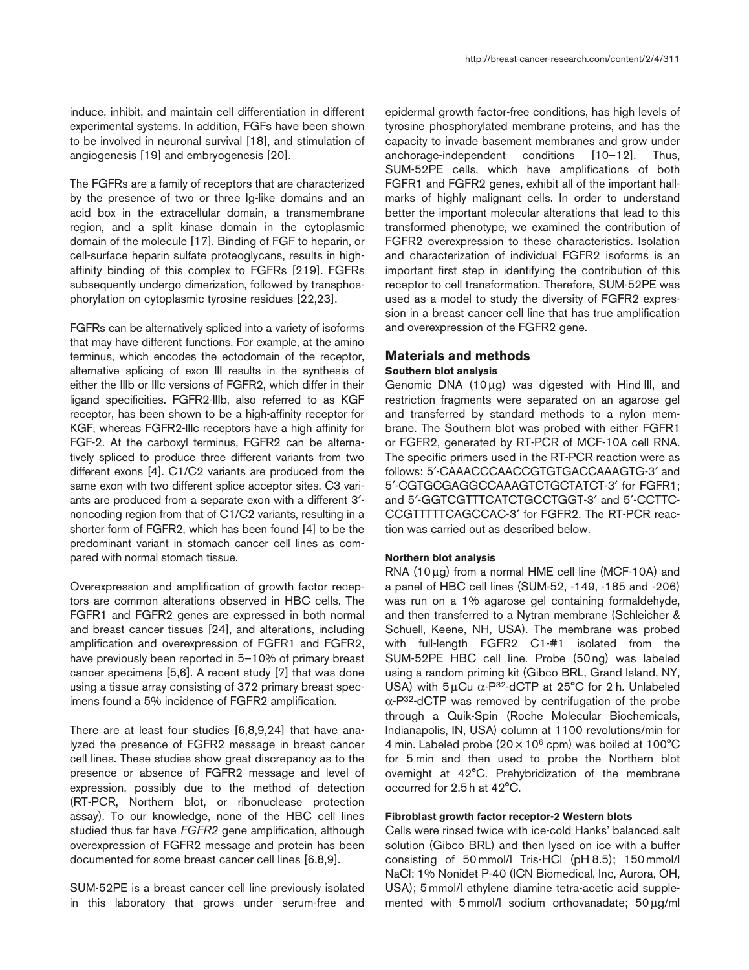induce, inhibit, and maintain cell differentiation in different experimental systems. In addition, FGFs have been shown to be involved in neuronal survival [18], and stimulation of angiogenesis [19] and embryogenesis [20].

The FGFRs are a family of receptors that are characterized by the presence of two or three Ig-like domains and an acid box in the extracellular domain, a transmembrane region, and a split kinase domain in the cytoplasmic domain of the molecule [17]. Binding of FGF to heparin, or cell-surface heparin sulfate proteoglycans, results in highaffinity binding of this complex to FGFRs [219]. FGFRs subsequently undergo dimerization, followed by transphosphorylation on cytoplasmic tyrosine residues [22,23].

FGFRs can be alternatively spliced into a variety of isoforms that may have different functions. For example, at the amino terminus, which encodes the ectodomain of the receptor, alternative splicing of exon III results in the synthesis of either the IIIb or IIIc versions of FGFR2, which differ in their ligand specificities. FGFR2-IIIb, also referred to as KGF receptor, has been shown to be a high-affinity receptor for KGF, whereas FGFR2-IIIc receptors have a high affinity for FGF-2. At the carboxyl terminus, FGFR2 can be alternatively spliced to produce three different variants from two different exons [4]. C1/C2 variants are produced from the same exon with two different splice acceptor sites. C3 variants are produced from a separate exon with a different 3′ noncoding region from that of C1/C2 variants, resulting in a shorter form of FGFR2, which has been found [4] to be the predominant variant in stomach cancer cell lines as compared with normal stomach tissue.

Overexpression and amplification of growth factor receptors are common alterations observed in HBC cells. The FGFR1 and FGFR2 genes are expressed in both normal and breast cancer tissues [24], and alterations, including amplification and overexpression of FGFR1 and FGFR2, have previously been reported in 5–10% of primary breast cancer specimens [5,6]. A recent study [7] that was done using a tissue array consisting of 372 primary breast specimens found a 5% incidence of FGFR2 amplification.

There are at least four studies [6,8,9,24] that have analyzed the presence of FGFR2 message in breast cancer cell lines. These studies show great discrepancy as to the presence or absence of FGFR2 message and level of expression, possibly due to the method of detection (RT-PCR, Northern blot, or ribonuclease protection assay). To our knowledge, none of the HBC cell lines studied thus far have *FGFR2* gene amplification, although overexpression of FGFR2 message and protein has been documented for some breast cancer cell lines [6,8,9].

SUM-52PE is a breast cancer cell line previously isolated in this laboratory that grows under serum-free and epidermal growth factor-free conditions, has high levels of tyrosine phosphorylated membrane proteins, and has the capacity to invade basement membranes and grow under anchorage-independent conditions [10–12]. Thus, SUM-52PE cells, which have amplifications of both FGFR1 and FGFR2 genes, exhibit all of the important hallmarks of highly malignant cells. In order to understand better the important molecular alterations that lead to this transformed phenotype, we examined the contribution of FGFR2 overexpression to these characteristics. Isolation and characterization of individual FGFR2 isoforms is an important first step in identifying the contribution of this receptor to cell transformation. Therefore, SUM-52PE was used as a model to study the diversity of FGFR2 expression in a breast cancer cell line that has true amplification and overexpression of the FGFR2 gene.

## **Materials and methods**

## **Southern blot analysis**

Genomic DNA (10µg) was digested with Hind III, and restriction fragments were separated on an agarose gel and transferred by standard methods to a nylon membrane. The Southern blot was probed with either FGFR1 or FGFR2, generated by RT-PCR of MCF-10A cell RNA. The specific primers used in the RT-PCR reaction were as follows: 5′-CAAACCCAACCGTGTGACCAAAGTG-3′ and 5′-CGTGCGAGGCCAAAGTCTGCTATCT-3′ for FGFR1; and 5′-GGTCGTTTCATCTGCCTGGT-3′ and 5′-CCTTC-CCGTTTTTCAGCCAC-3′ for FGFR2. The RT-PCR reaction was carried out as described below.

#### **Northern blot analysis**

RNA (10µg) from a normal HME cell line (MCF-10A) and a panel of HBC cell lines (SUM-52, -149, -185 and -206) was run on a 1% agarose gel containing formaldehyde, and then transferred to a Nytran membrane (Schleicher & Schuell, Keene, NH, USA). The membrane was probed with full-length FGFR2 C1-#1 isolated from the SUM-52PE HBC cell line. Probe (50 ng) was labeled using a random priming kit (Gibco BRL, Grand Island, NY, USA) with  $5 \mu$ Cu  $\alpha$ -P<sup>32</sup>-dCTP at 25°C for 2 h. Unlabeled α-P32-dCTP was removed by centrifugation of the probe through a Quik-Spin (Roche Molecular Biochemicals, Indianapolis, IN, USA) column at 1100 revolutions/min for 4 min. Labeled probe (20 × 10<sup>6</sup> cpm) was boiled at 100°C for 5 min and then used to probe the Northern blot overnight at 42°C. Prehybridization of the membrane occurred for 2.5 h at 42°C.

#### **Fibroblast growth factor receptor-2 Western blots**

Cells were rinsed twice with ice-cold Hanks' balanced salt solution (Gibco BRL) and then lysed on ice with a buffer consisting of 50 mmol/l Tris-HCl (pH 8.5); 150 mmol/l NaCl; 1% Nonidet P-40 (ICN Biomedical, Inc, Aurora, OH, USA); 5 mmol/l ethylene diamine tetra-acetic acid supplemented with 5 mmol/l sodium orthovanadate; 50 µg/ml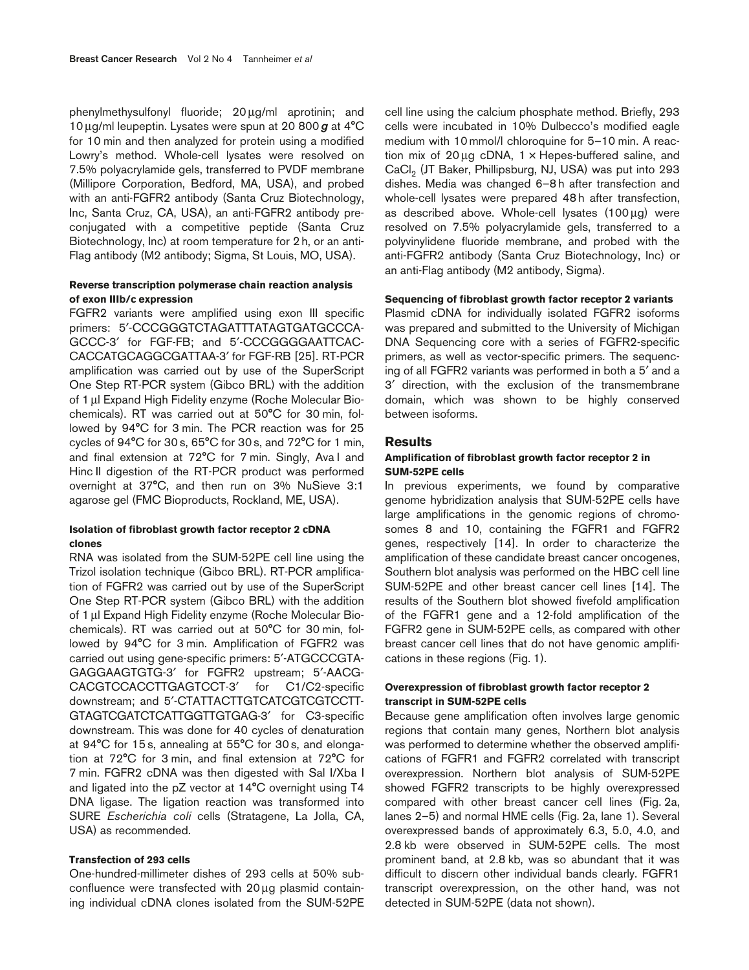phenylmethysulfonyl fluoride; 20µg/ml aprotinin; and 10µg/ml leupeptin. Lysates were spun at 20 800*g* at 4°C for 10 min and then analyzed for protein using a modified Lowry's method. Whole-cell lysates were resolved on 7.5% polyacrylamide gels, transferred to PVDF membrane (Millipore Corporation, Bedford, MA, USA), and probed with an anti-FGFR2 antibody (Santa Cruz Biotechnology, Inc, Santa Cruz, CA, USA), an anti-FGFR2 antibody preconjugated with a competitive peptide (Santa Cruz Biotechnology, Inc) at room temperature for 2 h, or an anti-Flag antibody (M2 antibody; Sigma, St Louis, MO, USA).

## **Reverse transcription polymerase chain reaction analysis of exon IIIb/c expression**

FGFR2 variants were amplified using exon III specific primers: 5′-CCCGGGTCTAGATTTATAGTGATGCCCA-GCCC-3′ for FGF-FB; and 5′-CCCGGGGAATTCAC-CACCATGCAGGCGATTAA-3′ for FGF-RB [25]. RT-PCR amplification was carried out by use of the SuperScript One Step RT-PCR system (Gibco BRL) with the addition of 1 µl Expand High Fidelity enzyme (Roche Molecular Biochemicals). RT was carried out at 50°C for 30 min, followed by 94°C for 3 min. The PCR reaction was for 25 cycles of 94°C for 30 s, 65°C for 30 s, and 72°C for 1 min, and final extension at 72°C for 7 min. Singly, Ava I and Hinc II digestion of the RT-PCR product was performed overnight at 37°C, and then run on 3% NuSieve 3:1 agarose gel (FMC Bioproducts, Rockland, ME, USA).

## **Isolation of fibroblast growth factor receptor 2 cDNA clones**

RNA was isolated from the SUM-52PE cell line using the Trizol isolation technique (Gibco BRL). RT-PCR amplification of FGFR2 was carried out by use of the SuperScript One Step RT-PCR system (Gibco BRL) with the addition of 1 µl Expand High Fidelity enzyme (Roche Molecular Biochemicals). RT was carried out at 50°C for 30 min, followed by 94°C for 3 min. Amplification of FGFR2 was carried out using gene-specific primers: 5′-ATGCCCGTA-GAGGAAGTGTG-3′ for FGFR2 upstream; 5′-AACG-CACGTCCACCTTGAGTCCT-3′ for C1/C2-specific downstream; and 5′-CTATTACTTGTCATCGTCGTCCTT-GTAGTCGATCTCATTGGTTGTGAG-3′ for C3-specific downstream. This was done for 40 cycles of denaturation at 94°C for 15 s, annealing at 55°C for 30 s, and elongation at 72°C for 3 min, and final extension at 72°C for 7 min. FGFR2 cDNA was then digested with Sal I/Xba I and ligated into the pZ vector at 14°C overnight using T4 DNA ligase. The ligation reaction was transformed into SURE *Escherichia coli* cells (Stratagene, La Jolla, CA, USA) as recommended.

## **Transfection of 293 cells**

One-hundred-millimeter dishes of 293 cells at 50% subconfluence were transfected with 20µg plasmid containing individual cDNA clones isolated from the SUM-52PE cell line using the calcium phosphate method. Briefly, 293 cells were incubated in 10% Dulbecco's modified eagle medium with 10 mmol/l chloroquine for 5–10 min. A reaction mix of 20  $\mu$ g cDNA, 1  $\times$  Hepes-buffered saline, and CaCl<sub>2</sub> (JT Baker, Phillipsburg, NJ, USA) was put into 293 dishes. Media was changed 6–8 h after transfection and whole-cell lysates were prepared 48 h after transfection, as described above. Whole-cell lysates (100µg) were resolved on 7.5% polyacrylamide gels, transferred to a polyvinylidene fluoride membrane, and probed with the anti-FGFR2 antibody (Santa Cruz Biotechnology, Inc) or an anti-Flag antibody (M2 antibody, Sigma).

#### **Sequencing of fibroblast growth factor receptor 2 variants**

Plasmid cDNA for individually isolated FGFR2 isoforms was prepared and submitted to the University of Michigan DNA Sequencing core with a series of FGFR2-specific primers, as well as vector-specific primers. The sequencing of all FGFR2 variants was performed in both a 5′ and a 3′ direction, with the exclusion of the transmembrane domain, which was shown to be highly conserved between isoforms.

#### **Results**

## **Amplification of fibroblast growth factor receptor 2 in SUM-52PE cells**

In previous experiments, we found by comparative genome hybridization analysis that SUM-52PE cells have large amplifications in the genomic regions of chromosomes 8 and 10, containing the FGFR1 and FGFR2 genes, respectively [14]. In order to characterize the amplification of these candidate breast cancer oncogenes, Southern blot analysis was performed on the HBC cell line SUM-52PE and other breast cancer cell lines [14]. The results of the Southern blot showed fivefold amplification of the FGFR1 gene and a 12-fold amplification of the FGFR2 gene in SUM-52PE cells, as compared with other breast cancer cell lines that do not have genomic amplifications in these regions (Fig. 1).

#### **Overexpression of fibroblast growth factor receptor 2 transcript in SUM-52PE cells**

Because gene amplification often involves large genomic regions that contain many genes, Northern blot analysis was performed to determine whether the observed amplifications of FGFR1 and FGFR2 correlated with transcript overexpression. Northern blot analysis of SUM-52PE showed FGFR2 transcripts to be highly overexpressed compared with other breast cancer cell lines (Fig. 2a, lanes 2–5) and normal HME cells (Fig. 2a, lane 1). Several overexpressed bands of approximately 6.3, 5.0, 4.0, and 2.8 kb were observed in SUM-52PE cells. The most prominent band, at 2.8 kb, was so abundant that it was difficult to discern other individual bands clearly. FGFR1 transcript overexpression, on the other hand, was not detected in SUM-52PE (data not shown).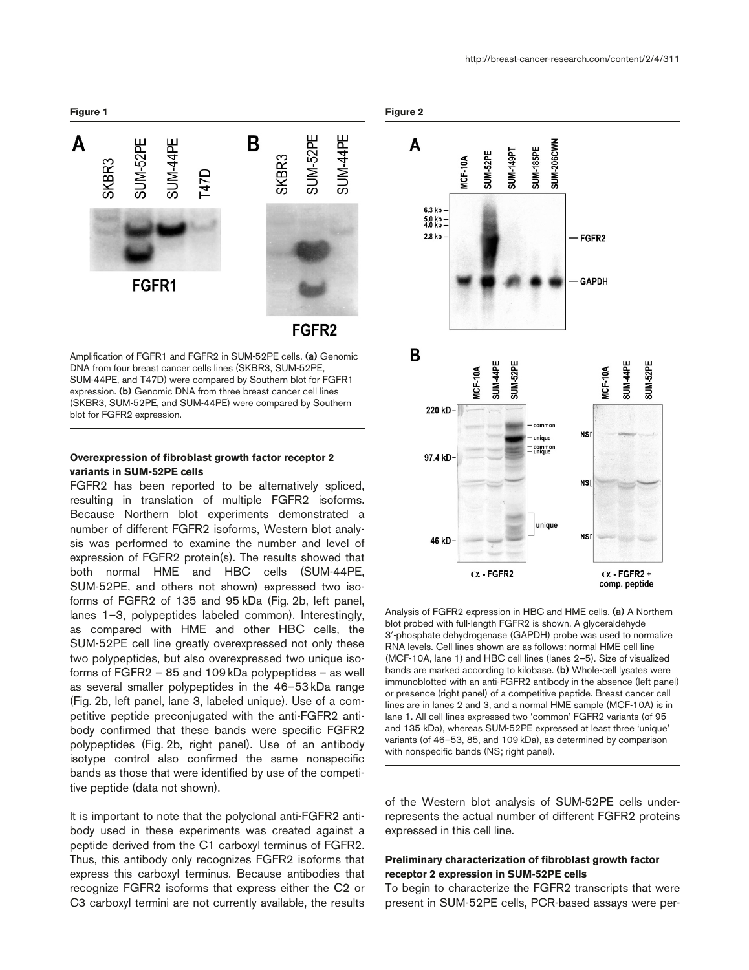

Amplification of FGFR1 and FGFR2 in SUM-52PE cells. **(a)** Genomic DNA from four breast cancer cells lines (SKBR3, SUM-52PE, SUM-44PE, and T47D) were compared by Southern blot for FGFR1 expression. **(b)** Genomic DNA from three breast cancer cell lines (SKBR3, SUM-52PE, and SUM-44PE) were compared by Southern blot for FGFR2 expression.

FGFR<sub>2</sub>

## **Overexpression of fibroblast growth factor receptor 2 variants in SUM-52PE cells**

FGFR2 has been reported to be alternatively spliced, resulting in translation of multiple FGFR2 isoforms. Because Northern blot experiments demonstrated a number of different FGFR2 isoforms, Western blot analysis was performed to examine the number and level of expression of FGFR2 protein(s). The results showed that both normal HME and HBC cells (SUM-44PE, SUM-52PE, and others not shown) expressed two isoforms of FGFR2 of 135 and 95 kDa (Fig. 2b, left panel, lanes 1–3, polypeptides labeled common). Interestingly, as compared with HME and other HBC cells, the SUM-52PE cell line greatly overexpressed not only these two polypeptides, but also overexpressed two unique isoforms of FGFR2 – 85 and 109 kDa polypeptides – as well as several smaller polypeptides in the 46–53 kDa range (Fig. 2b, left panel, lane 3, labeled unique). Use of a competitive peptide preconjugated with the anti-FGFR2 antibody confirmed that these bands were specific FGFR2 polypeptides (Fig. 2b, right panel). Use of an antibody isotype control also confirmed the same nonspecific bands as those that were identified by use of the competitive peptide (data not shown).

It is important to note that the polyclonal anti-FGFR2 antibody used in these experiments was created against a peptide derived from the C1 carboxyl terminus of FGFR2. Thus, this antibody only recognizes FGFR2 isoforms that express this carboxyl terminus. Because antibodies that recognize FGFR2 isoforms that express either the C2 or C3 carboxyl termini are not currently available, the results





Analysis of FGFR2 expression in HBC and HME cells. **(a)** A Northern blot probed with full-length FGFR2 is shown. A glyceraldehyde 3′-phosphate dehydrogenase (GAPDH) probe was used to normalize RNA levels. Cell lines shown are as follows: normal HME cell line (MCF-10A, lane 1) and HBC cell lines (lanes 2–5). Size of visualized bands are marked according to kilobase. **(b)** Whole-cell lysates were immunoblotted with an anti-FGFR2 antibody in the absence (left panel) or presence (right panel) of a competitive peptide. Breast cancer cell lines are in lanes 2 and 3, and a normal HME sample (MCF-10A) is in lane 1. All cell lines expressed two 'common' FGFR2 variants (of 95 and 135 kDa), whereas SUM-52PE expressed at least three 'unique' variants (of 46–53, 85, and 109 kDa), as determined by comparison with nonspecific bands (NS; right panel).

of the Western blot analysis of SUM-52PE cells underrepresents the actual number of different FGFR2 proteins expressed in this cell line.

## **Preliminary characterization of fibroblast growth factor receptor 2 expression in SUM-52PE cells**

To begin to characterize the FGFR2 transcripts that were present in SUM-52PE cells, PCR-based assays were per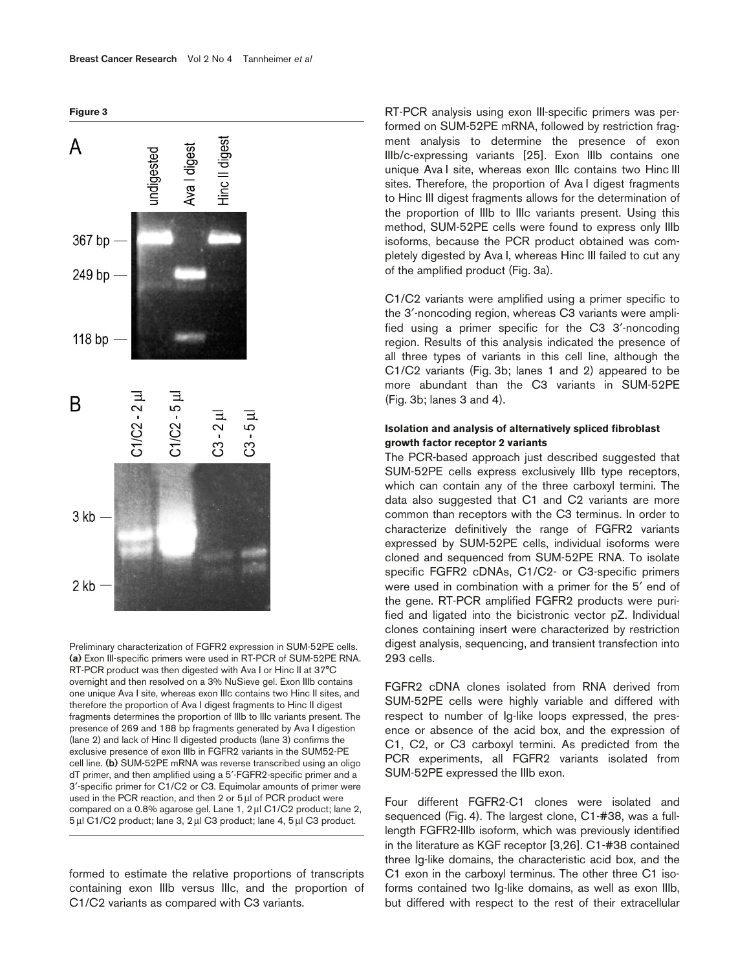**Figure 3**



Preliminary characterization of FGFR2 expression in SUM-52PE cells. **(a)** Exon III-specific primers were used in RT-PCR of SUM-52PE RNA. RT-PCR product was then digested with Ava I or Hinc II at 37°C overnight and then resolved on a 3% NuSieve gel. Exon IIIb contains one unique Ava I site, whereas exon IIIc contains two Hinc II sites, and therefore the proportion of Ava I digest fragments to Hinc II digest fragments determines the proportion of IIIb to IIIc variants present. The presence of 269 and 188 bp fragments generated by Ava I digestion (lane 2) and lack of Hinc II digested products (lane 3) confirms the exclusive presence of exon IIIb in FGFR2 variants in the SUM52-PE cell line. **(b)** SUM-52PE mRNA was reverse transcribed using an oligo dT primer, and then amplified using a 5′-FGFR2-specific primer and a 3′-specific primer for C1/C2 or C3. Equimolar amounts of primer were used in the PCR reaction, and then 2 or 5 µl of PCR product were compared on a 0.8% agarose gel. Lane 1, 2µl C1/C2 product; lane 2, 5µl C1/C2 product; lane 3, 2µl C3 product; lane 4, 5µl C3 product.

formed to estimate the relative proportions of transcripts containing exon IIIb versus IIIc, and the proportion of C1/C2 variants as compared with C3 variants.

RT-PCR analysis using exon III-specific primers was performed on SUM-52PE mRNA, followed by restriction fragment analysis to determine the presence of exon IIIb/c-expressing variants [25]. Exon IIIb contains one unique Ava I site, whereas exon IIIc contains two Hinc III sites. Therefore, the proportion of Ava I digest fragments to Hinc III digest fragments allows for the determination of the proportion of IIIb to IIIc variants present. Using this method, SUM-52PE cells were found to express only IIIb isoforms, because the PCR product obtained was completely digested by Ava I, whereas Hinc III failed to cut any of the amplified product (Fig. 3a).

C1/C2 variants were amplified using a primer specific to the 3′-noncoding region, whereas C3 variants were amplified using a primer specific for the C3 3′-noncoding region. Results of this analysis indicated the presence of all three types of variants in this cell line, although the C1/C2 variants (Fig. 3b; lanes 1 and 2) appeared to be more abundant than the C3 variants in SUM-52PE (Fig. 3b; lanes 3 and 4).

## **Isolation and analysis of alternatively spliced fibroblast growth factor receptor 2 variants**

The PCR-based approach just described suggested that SUM-52PE cells express exclusively IIIb type receptors, which can contain any of the three carboxyl termini. The data also suggested that C1 and C2 variants are more common than receptors with the C3 terminus. In order to characterize definitively the range of FGFR2 variants expressed by SUM-52PE cells, individual isoforms were cloned and sequenced from SUM-52PE RNA. To isolate specific FGFR2 cDNAs, C1/C2- or C3-specific primers were used in combination with a primer for the 5′ end of the gene. RT-PCR amplified FGFR2 products were purified and ligated into the bicistronic vector pZ. Individual clones containing insert were characterized by restriction digest analysis, sequencing, and transient transfection into 293 cells.

FGFR2 cDNA clones isolated from RNA derived from SUM-52PE cells were highly variable and differed with respect to number of Ig-like loops expressed, the presence or absence of the acid box, and the expression of C1, C2, or C3 carboxyl termini. As predicted from the PCR experiments, all FGFR2 variants isolated from SUM-52PE expressed the IIIb exon.

Four different FGFR2-C1 clones were isolated and sequenced (Fig. 4). The largest clone, C1-#38, was a fulllength FGFR2-IIIb isoform, which was previously identified in the literature as KGF receptor [3,26]. C1-#38 contained three Ig-like domains, the characteristic acid box, and the C1 exon in the carboxyl terminus. The other three C1 isoforms contained two Ig-like domains, as well as exon IIIb, but differed with respect to the rest of their extracellular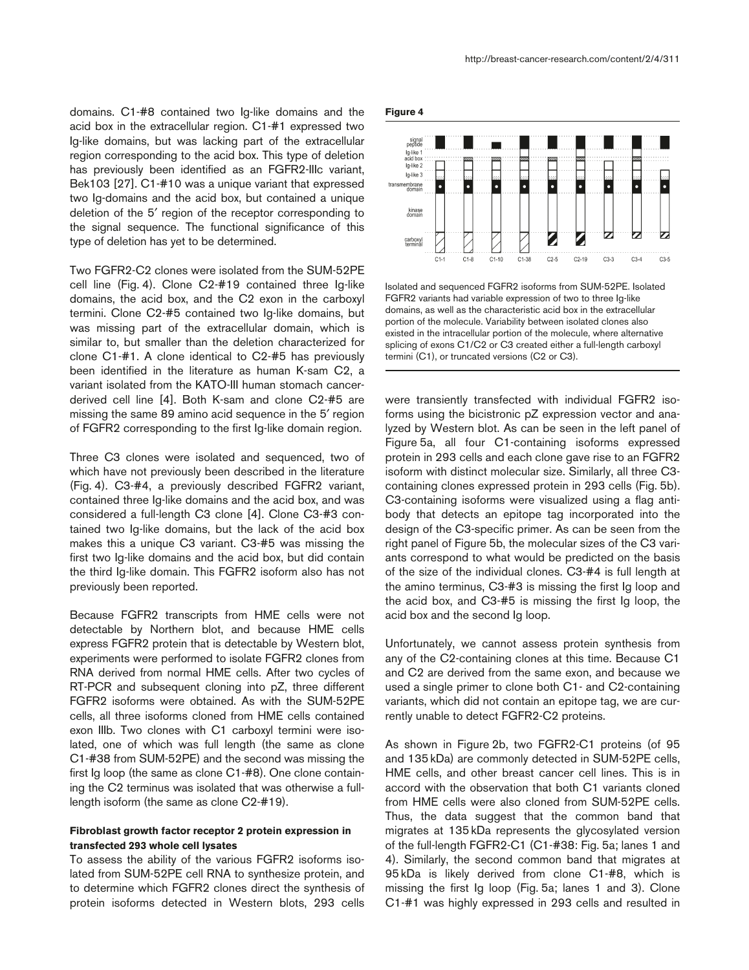domains. C1-#8 contained two Ig-like domains and the acid box in the extracellular region. C1-#1 expressed two Ig-like domains, but was lacking part of the extracellular region corresponding to the acid box. This type of deletion has previously been identified as an FGFR2-IIIc variant, Bek103 [27]. C1-#10 was a unique variant that expressed two Ig-domains and the acid box, but contained a unique deletion of the 5′ region of the receptor corresponding to the signal sequence. The functional significance of this type of deletion has yet to be determined.

Two FGFR2-C2 clones were isolated from the SUM-52PE cell line (Fig. 4). Clone C2-#19 contained three Ig-like domains, the acid box, and the C2 exon in the carboxyl termini. Clone C2-#5 contained two Ig-like domains, but was missing part of the extracellular domain, which is similar to, but smaller than the deletion characterized for clone C1-#1. A clone identical to C2-#5 has previously been identified in the literature as human K-sam C2, a variant isolated from the KATO-III human stomach cancerderived cell line [4]. Both K-sam and clone C2-#5 are missing the same 89 amino acid sequence in the 5′ region of FGFR2 corresponding to the first Ig-like domain region.

Three C3 clones were isolated and sequenced, two of which have not previously been described in the literature (Fig. 4). C3-#4, a previously described FGFR2 variant, contained three Ig-like domains and the acid box, and was considered a full-length C3 clone [4]. Clone C3-#3 contained two Ig-like domains, but the lack of the acid box makes this a unique C3 variant. C3-#5 was missing the first two Ig-like domains and the acid box, but did contain the third Ig-like domain. This FGFR2 isoform also has not previously been reported.

Because FGFR2 transcripts from HME cells were not detectable by Northern blot, and because HME cells express FGFR2 protein that is detectable by Western blot, experiments were performed to isolate FGFR2 clones from RNA derived from normal HME cells. After two cycles of RT-PCR and subsequent cloning into pZ, three different FGFR2 isoforms were obtained. As with the SUM-52PE cells, all three isoforms cloned from HME cells contained exon IIIb. Two clones with C1 carboxyl termini were isolated, one of which was full length (the same as clone C1-#38 from SUM-52PE) and the second was missing the first Ig loop (the same as clone C1-#8). One clone containing the C2 terminus was isolated that was otherwise a fulllength isoform (the same as clone C2-#19).

## **Fibroblast growth factor receptor 2 protein expression in transfected 293 whole cell lysates**

To assess the ability of the various FGFR2 isoforms isolated from SUM-52PE cell RNA to synthesize protein, and to determine which FGFR2 clones direct the synthesis of protein isoforms detected in Western blots, 293 cells **Figure 4**



Isolated and sequenced FGFR2 isoforms from SUM-52PE. Isolated FGFR2 variants had variable expression of two to three Ig-like domains, as well as the characteristic acid box in the extracellular portion of the molecule. Variability between isolated clones also existed in the intracellular portion of the molecule, where alternative splicing of exons C1/C2 or C3 created either a full-length carboxyl termini (C1), or truncated versions (C2 or C3).

were transiently transfected with individual FGFR2 isoforms using the bicistronic pZ expression vector and analyzed by Western blot. As can be seen in the left panel of Figure 5a, all four C1-containing isoforms expressed protein in 293 cells and each clone gave rise to an FGFR2 isoform with distinct molecular size. Similarly, all three C3 containing clones expressed protein in 293 cells (Fig. 5b). C3-containing isoforms were visualized using a flag antibody that detects an epitope tag incorporated into the design of the C3-specific primer. As can be seen from the right panel of Figure 5b, the molecular sizes of the C3 variants correspond to what would be predicted on the basis of the size of the individual clones. C3-#4 is full length at the amino terminus, C3-#3 is missing the first Ig loop and the acid box, and C3-#5 is missing the first Ig loop, the acid box and the second Ig loop.

Unfortunately, we cannot assess protein synthesis from any of the C2-containing clones at this time. Because C1 and C2 are derived from the same exon, and because we used a single primer to clone both C1- and C2-containing variants, which did not contain an epitope tag, we are currently unable to detect FGFR2-C2 proteins.

As shown in Figure 2b, two FGFR2-C1 proteins (of 95 and 135 kDa) are commonly detected in SUM-52PE cells, HME cells, and other breast cancer cell lines. This is in accord with the observation that both C1 variants cloned from HME cells were also cloned from SUM-52PE cells. Thus, the data suggest that the common band that migrates at 135 kDa represents the glycosylated version of the full-length FGFR2-C1 (C1-#38: Fig. 5a; lanes 1 and 4). Similarly, the second common band that migrates at 95 kDa is likely derived from clone C1-#8, which is missing the first Ig loop (Fig. 5a; lanes 1 and 3). Clone C1-#1 was highly expressed in 293 cells and resulted in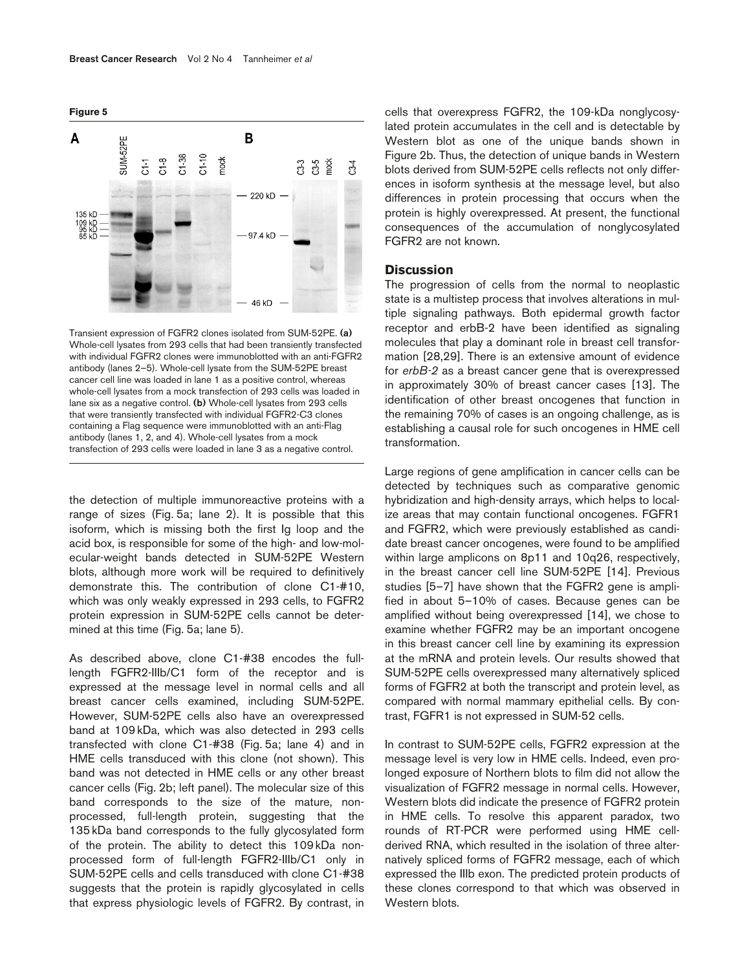



Transient expression of FGFR2 clones isolated from SUM-52PE. **(a)** Whole-cell lysates from 293 cells that had been transiently transfected with individual FGFR2 clones were immunoblotted with an anti-FGFR2 antibody (lanes 2–5). Whole-cell lysate from the SUM-52PE breast cancer cell line was loaded in lane 1 as a positive control, whereas whole-cell lysates from a mock transfection of 293 cells was loaded in lane six as a negative control. **(b)** Whole-cell lysates from 293 cells that were transiently transfected with individual FGFR2-C3 clones containing a Flag sequence were immunoblotted with an anti-Flag antibody (lanes 1, 2, and 4). Whole-cell lysates from a mock transfection of 293 cells were loaded in lane 3 as a negative control.

the detection of multiple immunoreactive proteins with a range of sizes (Fig. 5a; lane 2). It is possible that this isoform, which is missing both the first Ig loop and the acid box, is responsible for some of the high- and low-molecular-weight bands detected in SUM-52PE Western blots, although more work will be required to definitively demonstrate this. The contribution of clone C1-#10, which was only weakly expressed in 293 cells, to FGFR2 protein expression in SUM-52PE cells cannot be determined at this time (Fig. 5a; lane 5).

As described above, clone C1-#38 encodes the fulllength FGFR2-IIIb/C1 form of the receptor and is expressed at the message level in normal cells and all breast cancer cells examined, including SUM-52PE. However, SUM-52PE cells also have an overexpressed band at 109 kDa, which was also detected in 293 cells transfected with clone C1-#38 (Fig. 5a; lane 4) and in HME cells transduced with this clone (not shown). This band was not detected in HME cells or any other breast cancer cells (Fig. 2b; left panel). The molecular size of this band corresponds to the size of the mature, nonprocessed, full-length protein, suggesting that the 135 kDa band corresponds to the fully glycosylated form of the protein. The ability to detect this 109 kDa nonprocessed form of full-length FGFR2-IIIb/C1 only in SUM-52PE cells and cells transduced with clone C1-#38 suggests that the protein is rapidly glycosylated in cells that express physiologic levels of FGFR2. By contrast, in

cells that overexpress FGFR2, the 109-kDa nonglycosylated protein accumulates in the cell and is detectable by Western blot as one of the unique bands shown in Figure 2b. Thus, the detection of unique bands in Western blots derived from SUM-52PE cells reflects not only differences in isoform synthesis at the message level, but also differences in protein processing that occurs when the protein is highly overexpressed. At present, the functional consequences of the accumulation of nonglycosylated FGFR2 are not known.

## **Discussion**

The progression of cells from the normal to neoplastic state is a multistep process that involves alterations in multiple signaling pathways. Both epidermal growth factor receptor and erbB-2 have been identified as signaling molecules that play a dominant role in breast cell transformation [28,29]. There is an extensive amount of evidence for *erbB-2* as a breast cancer gene that is overexpressed in approximately 30% of breast cancer cases [13]. The identification of other breast oncogenes that function in the remaining 70% of cases is an ongoing challenge, as is establishing a causal role for such oncogenes in HME cell transformation.

Large regions of gene amplification in cancer cells can be detected by techniques such as comparative genomic hybridization and high-density arrays, which helps to localize areas that may contain functional oncogenes. FGFR1 and FGFR2, which were previously established as candidate breast cancer oncogenes, were found to be amplified within large amplicons on 8p11 and 10q26, respectively, in the breast cancer cell line SUM-52PE [14]. Previous studies [5–7] have shown that the FGFR2 gene is amplified in about 5–10% of cases. Because genes can be amplified without being overexpressed [14], we chose to examine whether FGFR2 may be an important oncogene in this breast cancer cell line by examining its expression at the mRNA and protein levels. Our results showed that SUM-52PE cells overexpressed many alternatively spliced forms of FGFR2 at both the transcript and protein level, as compared with normal mammary epithelial cells. By contrast, FGFR1 is not expressed in SUM-52 cells.

In contrast to SUM-52PE cells, FGFR2 expression at the message level is very low in HME cells. Indeed, even prolonged exposure of Northern blots to film did not allow the visualization of FGFR2 message in normal cells. However, Western blots did indicate the presence of FGFR2 protein in HME cells. To resolve this apparent paradox, two rounds of RT-PCR were performed using HME cellderived RNA, which resulted in the isolation of three alternatively spliced forms of FGFR2 message, each of which expressed the IIIb exon. The predicted protein products of these clones correspond to that which was observed in Western blots.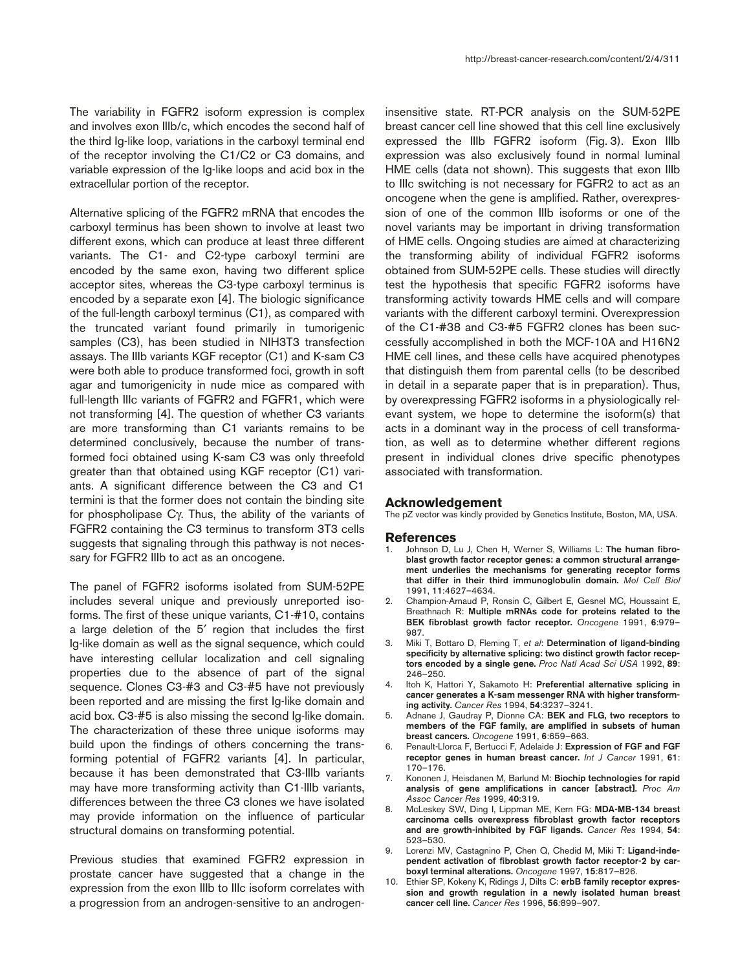The variability in FGFR2 isoform expression is complex and involves exon IIIb/c, which encodes the second half of the third Ig-like loop, variations in the carboxyl terminal end of the receptor involving the C1/C2 or C3 domains, and variable expression of the Ig-like loops and acid box in the extracellular portion of the receptor.

Alternative splicing of the FGFR2 mRNA that encodes the carboxyl terminus has been shown to involve at least two different exons, which can produce at least three different variants. The C1- and C2-type carboxyl termini are encoded by the same exon, having two different splice acceptor sites, whereas the C3-type carboxyl terminus is encoded by a separate exon [4]. The biologic significance of the full-length carboxyl terminus (C1), as compared with the truncated variant found primarily in tumorigenic samples (C3), has been studied in NIH3T3 transfection assays. The IIIb variants KGF receptor (C1) and K-sam C3 were both able to produce transformed foci, growth in soft agar and tumorigenicity in nude mice as compared with full-length IIIc variants of FGFR2 and FGFR1, which were not transforming [4]. The question of whether C3 variants are more transforming than C1 variants remains to be determined conclusively, because the number of transformed foci obtained using K-sam C3 was only threefold greater than that obtained using KGF receptor (C1) variants. A significant difference between the C3 and C1 termini is that the former does not contain the binding site for phospholipase Cγ. Thus, the ability of the variants of FGFR2 containing the C3 terminus to transform 3T3 cells suggests that signaling through this pathway is not necessary for FGFR2 IIIb to act as an oncogene.

The panel of FGFR2 isoforms isolated from SUM-52PE includes several unique and previously unreported isoforms. The first of these unique variants, C1-#10, contains a large deletion of the 5′ region that includes the first Ig-like domain as well as the signal sequence, which could have interesting cellular localization and cell signaling properties due to the absence of part of the signal sequence. Clones C3-#3 and C3-#5 have not previously been reported and are missing the first Ig-like domain and acid box. C3-#5 is also missing the second Ig-like domain. The characterization of these three unique isoforms may build upon the findings of others concerning the transforming potential of FGFR2 variants [4]. In particular, because it has been demonstrated that C3-IIIb variants may have more transforming activity than C1-IIIb variants, differences between the three C3 clones we have isolated may provide information on the influence of particular structural domains on transforming potential.

Previous studies that examined FGFR2 expression in prostate cancer have suggested that a change in the expression from the exon IIIb to IIIc isoform correlates with a progression from an androgen-sensitive to an androgeninsensitive state. RT-PCR analysis on the SUM-52PE breast cancer cell line showed that this cell line exclusively expressed the IIIb FGFR2 isoform (Fig. 3). Exon IIIb expression was also exclusively found in normal luminal HME cells (data not shown). This suggests that exon IIIb to IIIc switching is not necessary for FGFR2 to act as an oncogene when the gene is amplified. Rather, overexpression of one of the common IIIb isoforms or one of the novel variants may be important in driving transformation of HME cells. Ongoing studies are aimed at characterizing the transforming ability of individual FGFR2 isoforms obtained from SUM-52PE cells. These studies will directly test the hypothesis that specific FGFR2 isoforms have transforming activity towards HME cells and will compare variants with the different carboxyl termini. Overexpression of the C1-#38 and C3-#5 FGFR2 clones has been successfully accomplished in both the MCF-10A and H16N2 HME cell lines, and these cells have acquired phenotypes that distinguish them from parental cells (to be described in detail in a separate paper that is in preparation). Thus, by overexpressing FGFR2 isoforms in a physiologically relevant system, we hope to determine the isoform(s) that acts in a dominant way in the process of cell transformation, as well as to determine whether different regions present in individual clones drive specific phenotypes associated with transformation.

#### **Acknowledgement**

The pZ vector was kindly provided by Genetics Institute, Boston, MA, USA.

#### **References**

- 1. Johnson D, Lu J, Chen H, Werner S, Williams L: **The human fibroblast growth factor receptor genes: a common structural arrangement underlies the mechanisms for generating receptor forms that differ in their third immunoglobulin domain.** *Mol Cell Biol* 1991, **11**:4627–4634.
- 2. Champion-Arnaud P, Ronsin C, Gilbert E, Gesnel MC, Houssaint E, Breathnach R: **Multiple mRNAs code for proteins related to the BEK fibroblast growth factor receptor.** *Oncogene* 1991, **6**:979– 987.
- 3. Miki T, Bottaro D, Fleming T, *et al*: **Determination of ligand-binding specificity by alternative splicing: two distinct growth factor receptors encoded by a single gene.** *Proc Natl Acad Sci USA* 1992, **89**: 246–250.
- 4. Itoh K, Hattori Y, Sakamoto H: **Preferential alternative splicing in cancer generates a K-sam messenger RNA with higher transforming activity.** *Cancer Res* 1994, **54**:3237–3241.
- 5. Adnane J, Gaudray P, Dionne CA: **BEK and FLG, two receptors to members of the FGF family, are amplified in subsets of human breast cancers.** *Oncogene* 1991, **6**:659–663.
- 6. Penault-Llorca F, Bertucci F, Adelaide J: **Expression of FGF and FGF receptor genes in human breast cancer.** *Int J Cancer* 1991, **61**: 170–176.
- 7. Kononen J, Heisdanen M, Barlund M: **Biochip technologies for rapid analysis of gene amplifications in cancer [abstract].** *Proc Am Assoc Cancer Res* 1999, **40**:319.
- 8. McLeskey SW, Ding I, Lippman ME, Kern FG: **MDA-MB-134 breast carcinoma cells overexpress fibroblast growth factor receptors and are growth-inhibited by FGF ligands.** *Cancer Res* 1994, **54**: 523–530.
- 9. Lorenzi MV, Castagnino P, Chen Q, Chedid M, Miki T: **Ligand-independent activation of fibroblast growth factor receptor-2 by carboxyl terminal alterations.** *Oncogene* 1997, **15**:817–826.
- 10. Ethier SP, Kokeny K, Ridings J, Dilts C: **erbB family receptor expression and growth regulation in a newly isolated human breast cancer cell line.** *Cancer Res* 1996, **56***:*899–907.